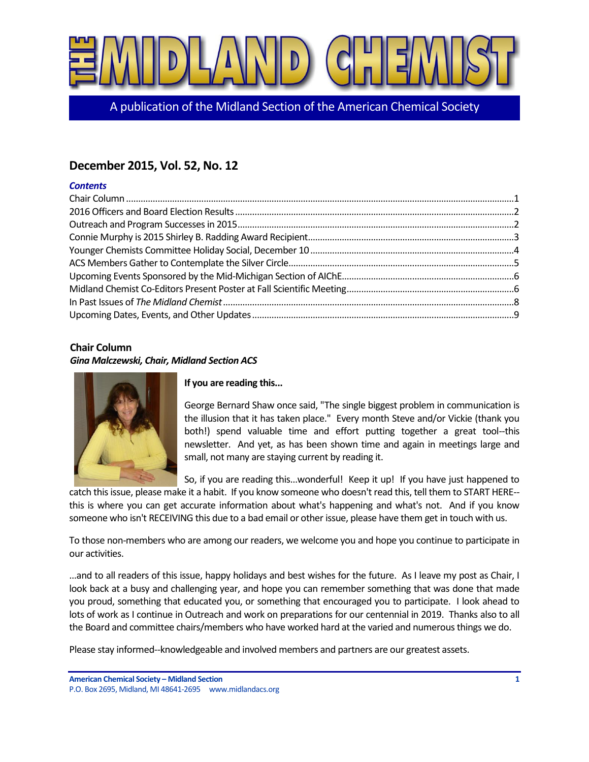

A publication of the Midland Section of the American Chemical Society

# **December 2015, Vol. 52, No. 12**

### *Contents*

# <span id="page-0-0"></span>**Chair Column**

### *Gina Malczewski, Chair, Midland Section ACS*



# **If you are reading this...**

George Bernard Shaw once said, "The single biggest problem in communication is the illusion that it has taken place." Every month Steve and/or Vickie (thank you both!) spend valuable time and effort putting together a great tool--this newsletter. And yet, as has been shown time and again in meetings large and small, not many are staying current by reading it.

So, if you are reading this...wonderful! Keep it up! If you have just happened to

catch this issue, please make it a habit. If you know someone who doesn't read this, tell them to START HERE- this is where you can get accurate information about what's happening and what's not. And if you know someone who isn't RECEIVING this due to a bad email or other issue, please have them get in touch with us.

To those non-members who are among our readers, we welcome you and hope you continue to participate in our activities.

...and to all readers of this issue, happy holidays and best wishes for the future. As I leave my post as Chair, I look back at a busy and challenging year, and hope you can remember something that was done that made you proud, something that educated you, or something that encouraged you to participate. I look ahead to lots of work as I continue in Outreach and work on preparations for our centennial in 2019. Thanks also to all the Board and committee chairs/members who have worked hard at the varied and numerous things we do.

Please stay informed--knowledgeable and involved members and partners are our greatest assets.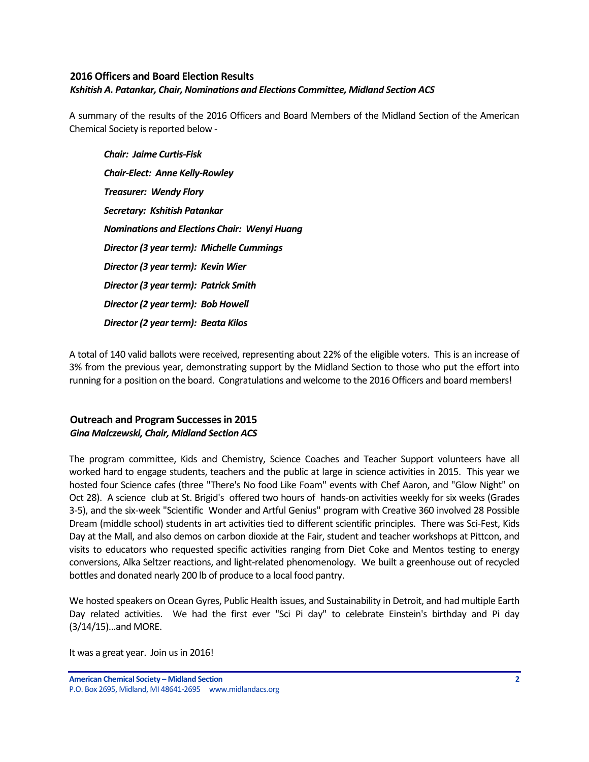### <span id="page-1-0"></span>**2016 Officers and Board Election Results** *Kshitish A. Patankar, Chair, Nominations and Elections Committee, Midland Section ACS*

A summary of the results of the 2016 Officers and Board Members of the Midland Section of the American Chemical Society is reported below -

*Chair: Jaime Curtis-Fisk Chair-Elect: Anne Kelly-Rowley Treasurer: Wendy Flory Secretary: Kshitish Patankar Nominations and Elections Chair: Wenyi Huang Director (3 year term): Michelle Cummings Director (3 year term): Kevin Wier Director (3 year term): Patrick Smith Director (2 year term): Bob Howell Director (2 year term): Beata Kilos*

A total of 140 valid ballots were received, representing about 22% of the eligible voters. This is an increase of 3% from the previous year, demonstrating support by the Midland Section to those who put the effort into running for a position on the board. Congratulations and welcome to the 2016 Officers and board members!

# <span id="page-1-1"></span>**Outreach and Program Successes in 2015** *Gina Malczewski, Chair, Midland Section ACS*

The program committee, Kids and Chemistry, Science Coaches and Teacher Support volunteers have all worked hard to engage students, teachers and the public at large in science activities in 2015. This year we hosted four Science cafes (three "There's No food Like Foam" events with Chef Aaron, and "Glow Night" on Oct 28). A science club at St. Brigid's offered two hours of hands-on activities weekly for six weeks (Grades 3-5), and the six-week "Scientific Wonder and Artful Genius" program with Creative 360 involved 28 Possible Dream (middle school) students in art activities tied to different scientific principles. There was Sci-Fest, Kids Day at the Mall, and also demos on carbon dioxide at the Fair, student and teacher workshops at Pittcon, and visits to educators who requested specific activities ranging from Diet Coke and Mentos testing to energy conversions, Alka Seltzer reactions, and light-related phenomenology. We built a greenhouse out of recycled bottles and donated nearly 200 lb of produce to a local food pantry.

We hosted speakers on Ocean Gyres, Public Health issues, and Sustainability in Detroit, and had multiple Earth Day related activities. We had the first ever "Sci Pi day" to celebrate Einstein's birthday and Pi day (3/14/15)...and MORE.

It was a great year. Join us in 2016!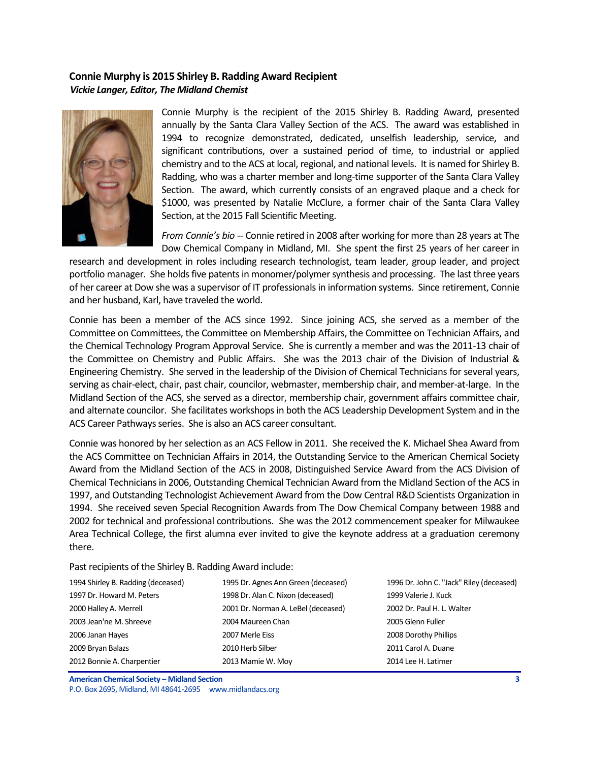### <span id="page-2-0"></span>**Connie Murphy is 2015 Shirley B. Radding Award Recipient** *Vickie Langer, Editor, The Midland Chemist*



Connie Murphy is the recipient of the 2015 Shirley B. Radding Award, presented annually by the Santa Clara Valley Section of the ACS. The award was established in 1994 to recognize demonstrated, dedicated, unselfish leadership, service, and significant contributions, over a sustained period of time, to industrial or applied chemistry and to the ACS at local, regional, and national levels. It is named for Shirley B. Radding, who was a charter member and long-time supporter of the Santa Clara Valley Section. The award, which currently consists of an engraved plaque and a check for \$1000, was presented by Natalie McClure, a former chair of the Santa Clara Valley Section, at the 2015 Fall Scientific Meeting.

*From Connie's bio* -- Connie retired in 2008 after working for more than 28 years at The Dow Chemical Company in Midland, MI. She spent the first 25 years of her career in

research and development in roles including research technologist, team leader, group leader, and project portfolio manager. She holds five patents in monomer/polymer synthesis and processing. The last three years of her career at Dow she was a supervisor of IT professionals in information systems. Since retirement, Connie and her husband, Karl, have traveled the world.

Connie has been a member of the ACS since 1992. Since joining ACS, she served as a member of the Committee on Committees, the Committee on Membership Affairs, the Committee on Technician Affairs, and the Chemical Technology Program Approval Service. She is currently a member and was the 2011-13 chair of the Committee on Chemistry and Public Affairs. She was the 2013 chair of the Division of Industrial & Engineering Chemistry. She served in the leadership of the Division of Chemical Technicians for several years, serving as chair-elect, chair, past chair, councilor, webmaster, membership chair, and member-at-large. In the Midland Section of the ACS, she served as a director, membership chair, government affairs committee chair, and alternate councilor. She facilitates workshops in both the ACS Leadership Development System and in the ACS Career Pathways series. She is also an ACS career consultant.

Connie was honored by her selection as an ACS Fellow in 2011. She received the K. Michael Shea Award from the ACS Committee on Technician Affairs in 2014, the Outstanding Service to the American Chemical Society Award from the Midland Section of the ACS in 2008, Distinguished Service Award from the ACS Division of Chemical Technicians in 2006, Outstanding Chemical Technician Award from the Midland Section of the ACS in 1997, and Outstanding Technologist Achievement Award from the Dow Central R&D Scientists Organization in 1994. She received seven Special Recognition Awards from The Dow Chemical Company between 1988 and 2002 for technical and professional contributions. She was the 2012 commencement speaker for Milwaukee Area Technical College, the first alumna ever invited to give the keynote address at a graduation ceremony there.

Past recipients of the Shirley B. Radding Award include:

| 1994 Shirley B. Radding (deceased) | 1995 Dr. Agnes Ann Green (deceased) | 1996 Dr. John C. "Jack" Riley (deceased) |
|------------------------------------|-------------------------------------|------------------------------------------|
| 1997 Dr. Howard M. Peters          | 1998 Dr. Alan C. Nixon (deceased)   | 1999 Valerie J. Kuck                     |
| 2000 Halley A. Merrell             | 2001 Dr. Norman A. LeBel (deceased) | 2002 Dr. Paul H. L. Walter               |
| 2003 Jean'ne M. Shreeve            | 2004 Maureen Chan                   | 2005 Glenn Fuller                        |
| 2006 Janan Hayes                   | 2007 Merle Eiss                     | 2008 Dorothy Phillips                    |
| 2009 Bryan Balazs                  | 2010 Herb Silber                    | 2011 Carol A. Duane                      |
| 2012 Bonnie A. Charpentier         | 2013 Mamie W. Moy                   | 2014 Lee H. Latimer                      |

**American Chemical Society – Midland Section 3** P.O. Box 2695, Midland, MI 48641-2695 www.midlandacs.org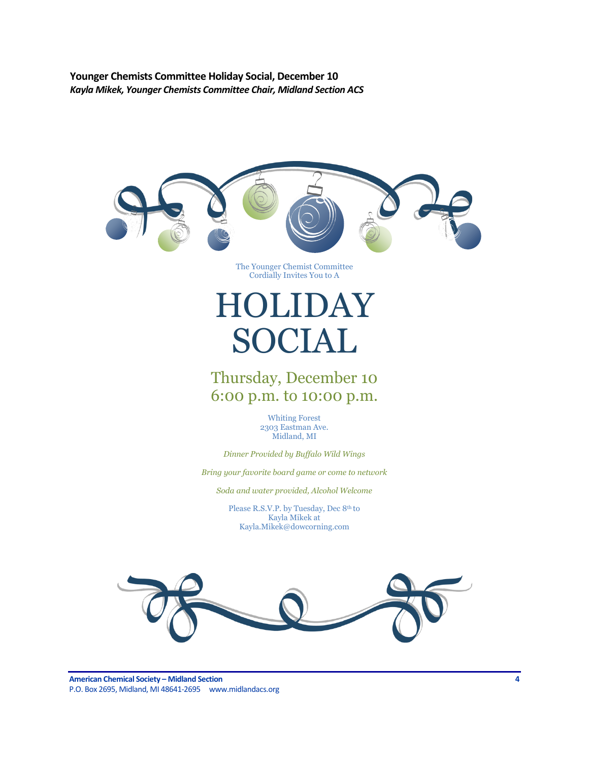<span id="page-3-0"></span>**Younger Chemists Committee Holiday Social, December 10** *Kayla Mikek, Younger Chemists Committee Chair, Midland Section ACS*





**American Chemical Society – Midland Section 4** P.O. Box 2695, Midland, MI 48641-2695 www.midlandacs.org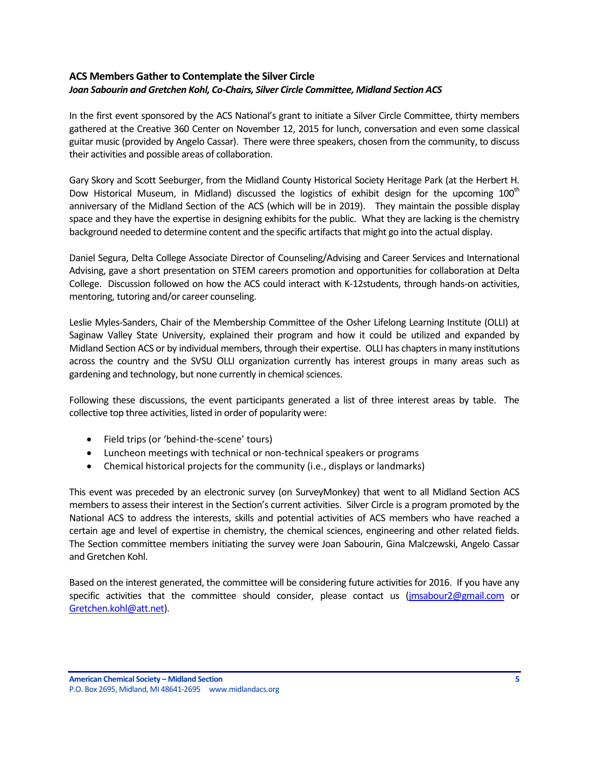# <span id="page-4-0"></span>**ACS Members Gather to Contemplate the Silver Circle** *Joan Sabourin and Gretchen Kohl, Co-Chairs, Silver Circle Committee, Midland Section ACS*

In the first event sponsored by the ACS National's grant to initiate a Silver Circle Committee, thirty members gathered at the Creative 360 Center on November 12, 2015 for lunch, conversation and even some classical guitar music (provided by Angelo Cassar). There were three speakers, chosen from the community, to discuss their activities and possible areas of collaboration.

Gary Skory and Scott Seeburger, from the Midland County Historical Society Heritage Park (at the Herbert H. Dow Historical Museum, in Midland) discussed the logistics of exhibit design for the upcoming  $100<sup>th</sup>$ anniversary of the Midland Section of the ACS (which will be in 2019). They maintain the possible display space and they have the expertise in designing exhibits for the public. What they are lacking is the chemistry background needed to determine content and the specific artifacts that might go into the actual display.

Daniel Segura, Delta College Associate Director of Counseling/Advising and Career Services and International Advising, gave a short presentation on STEM careers promotion and opportunities for collaboration at Delta College. Discussion followed on how the ACS could interact with K-12students, through hands-on activities, mentoring, tutoring and/or career counseling.

Leslie Myles-Sanders, Chair of the Membership Committee of the Osher Lifelong Learning Institute (OLLI) at Saginaw Valley State University, explained their program and how it could be utilized and expanded by Midland Section ACS or by individual members, through their expertise. OLLI has chapters in many institutions across the country and the SVSU OLLI organization currently has interest groups in many areas such as gardening and technology, but none currently in chemical sciences.

Following these discussions, the event participants generated a list of three interest areas by table. The collective top three activities, listed in order of popularity were:

- Field trips (or 'behind-the-scene' tours)
- Luncheon meetings with technical or non-technical speakers or programs
- Chemical historical projects for the community (i.e., displays or landmarks)

This event was preceded by an electronic survey (on SurveyMonkey) that went to all Midland Section ACS members to assess their interest in the Section's current activities. Silver Circle is a program promoted by the National ACS to address the interests, skills and potential activities of ACS members who have reached a certain age and level of expertise in chemistry, the chemical sciences, engineering and other related fields. The Section committee members initiating the survey were Joan Sabourin, Gina Malczewski, Angelo Cassar and Gretchen Kohl.

Based on the interest generated, the committee will be considering future activities for 2016. If you have any specific activities that the committee should consider, please contact us [\(jmsabour2@gmail.com](mailto:jmsabour2@gmail.com) or [Gretchen.kohl@att.net\)](mailto:Gretchen.kohl@att.net).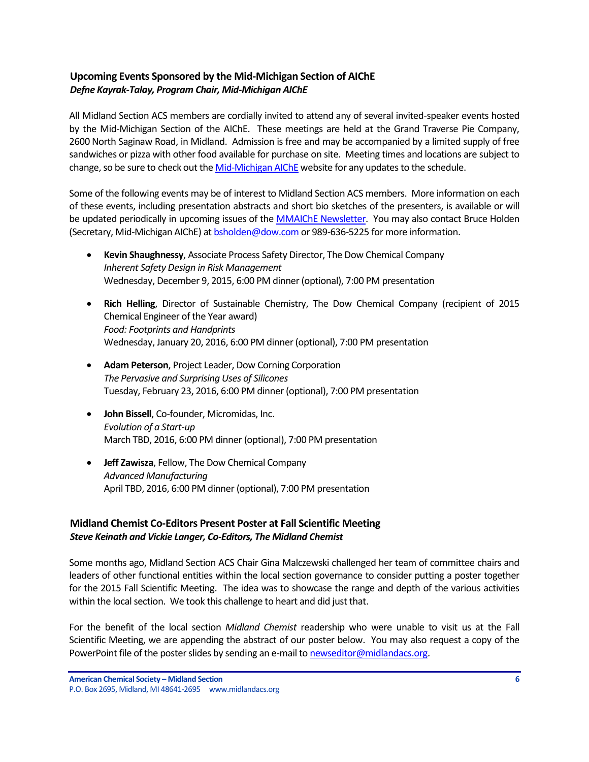# <span id="page-5-0"></span>**Upcoming Events Sponsored by the Mid-Michigan Section of AIChE** *Defne Kayrak-Talay, Program Chair, Mid-Michigan AIChE*

All Midland Section ACS members are cordially invited to attend any of several invited-speaker events hosted by the Mid-Michigan Section of the AIChE. These meetings are held at the Grand Traverse Pie Company, 2600 North Saginaw Road, in Midland. Admission is free and may be accompanied by a limited supply of free sandwiches or pizza with other food available for purchase on site. Meeting times and locations are subject to change, so be sure to check out the [Mid-Michigan AIChE](http://www.aiche.org/community/sites/local-sections/mid-michigan) website for any updates to the schedule.

Some of the following events may be of interest to Midland Section ACS members. More information on each of these events, including presentation abstracts and short bio sketches of the presenters, is available or will be updated periodically in upcoming issues of the [MMAIChE Newsletter.](http://www.aiche.org/community/sites/local-sections/mid-michigan/newsletters) You may also contact Bruce Holden (Secretary, Mid-Michigan AIChE) a[t bsholden@dow.com](mailto:bsholden@dow.com) or 989-636-5225 for more information.

- **Kevin Shaughnessy**, Associate Process Safety Director, The Dow Chemical Company *Inherent Safety Design in Risk Management* Wednesday, December 9, 2015, 6:00 PM dinner (optional), 7:00 PM presentation
- **Rich Helling**, Director of Sustainable Chemistry, The Dow Chemical Company (recipient of 2015 Chemical Engineer of the Year award) *Food: Footprints and Handprints* Wednesday, January 20, 2016, 6:00 PM dinner (optional), 7:00 PM presentation
- **Adam Peterson**, Project Leader, Dow Corning Corporation *The Pervasive and Surprising Uses of Silicones* Tuesday, February 23, 2016, 6:00 PM dinner (optional), 7:00 PM presentation
- **John Bissell**, Co-founder, Micromidas, Inc. *Evolution of a Start-up* March TBD, 2016, 6:00 PM dinner (optional), 7:00 PM presentation
- **Jeff Zawisza**, Fellow, The Dow Chemical Company *Advanced Manufacturing* April TBD, 2016, 6:00 PM dinner (optional), 7:00 PM presentation

# <span id="page-5-1"></span>**Midland Chemist Co-Editors Present Poster at Fall Scientific Meeting** *Steve Keinath and Vickie Langer, Co-Editors, The Midland Chemist*

Some months ago, Midland Section ACS Chair Gina Malczewski challenged her team of committee chairs and leaders of other functional entities within the local section governance to consider putting a poster together for the 2015 Fall Scientific Meeting. The idea was to showcase the range and depth of the various activities within the local section. We took this challenge to heart and did just that.

For the benefit of the local section *Midland Chemist* readership who were unable to visit us at the Fall Scientific Meeting, we are appending the abstract of our poster below. You may also request a copy of the PowerPoint file of the poster slides by sending an e-mail t[o newseditor@midlandacs.org.](mailto:newseditor@midlandacs.org)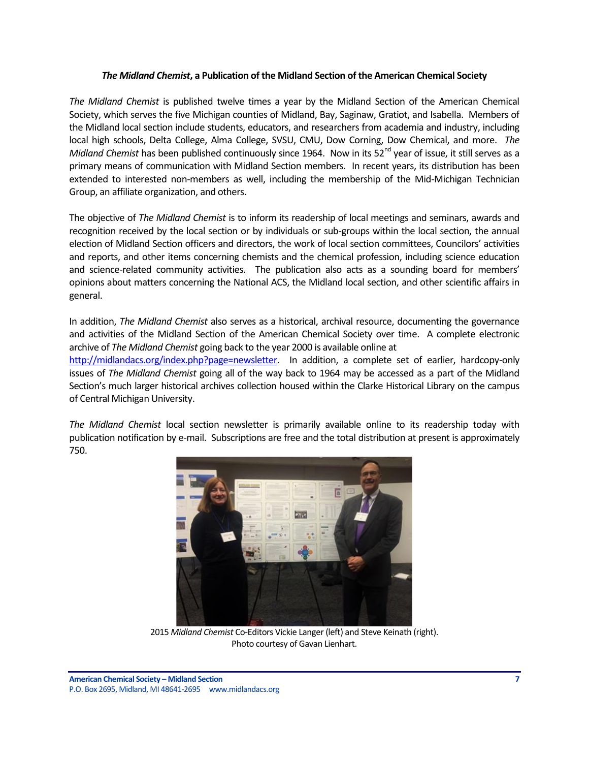#### *The Midland Chemist***, a Publication of the Midland Section of the American Chemical Society**

*The Midland Chemist* is published twelve times a year by the Midland Section of the American Chemical Society, which serves the five Michigan counties of Midland, Bay, Saginaw, Gratiot, and Isabella. Members of the Midland local section include students, educators, and researchers from academia and industry, including local high schools, Delta College, Alma College, SVSU, CMU, Dow Corning, Dow Chemical, and more. *The Midland Chemist* has been published continuously since 1964. Now in its 52<sup>nd</sup> year of issue, it still serves as a primary means of communication with Midland Section members. In recent years, its distribution has been extended to interested non-members as well, including the membership of the Mid-Michigan Technician Group, an affiliate organization, and others.

The objective of *The Midland Chemist* is to inform its readership of local meetings and seminars, awards and recognition received by the local section or by individuals or sub-groups within the local section, the annual election of Midland Section officers and directors, the work of local section committees, Councilors' activities and reports, and other items concerning chemists and the chemical profession, including science education and science-related community activities. The publication also acts as a sounding board for members' opinions about matters concerning the National ACS, the Midland local section, and other scientific affairs in general.

In addition, *The Midland Chemist* also serves as a historical, archival resource, documenting the governance and activities of the Midland Section of the American Chemical Society over time. A complete electronic archive of *The Midland Chemist* going back to the year 2000 is available online at

[http://midlandacs.org/index.php?page=newsletter.](http://midlandacs.org/index.php?page=newsletter) In addition, a complete set of earlier, hardcopy-only issues of *The Midland Chemist* going all of the way back to 1964 may be accessed as a part of the Midland Section's much larger historical archives collection housed within the Clarke Historical Library on the campus of Central Michigan University.

*The Midland Chemist* local section newsletter is primarily available online to its readership today with publication notification by e-mail. Subscriptions are free and the total distribution at present is approximately 750.



2015 *Midland Chemist* Co-Editors Vickie Langer (left) and Steve Keinath (right). Photo courtesy of Gavan Lienhart.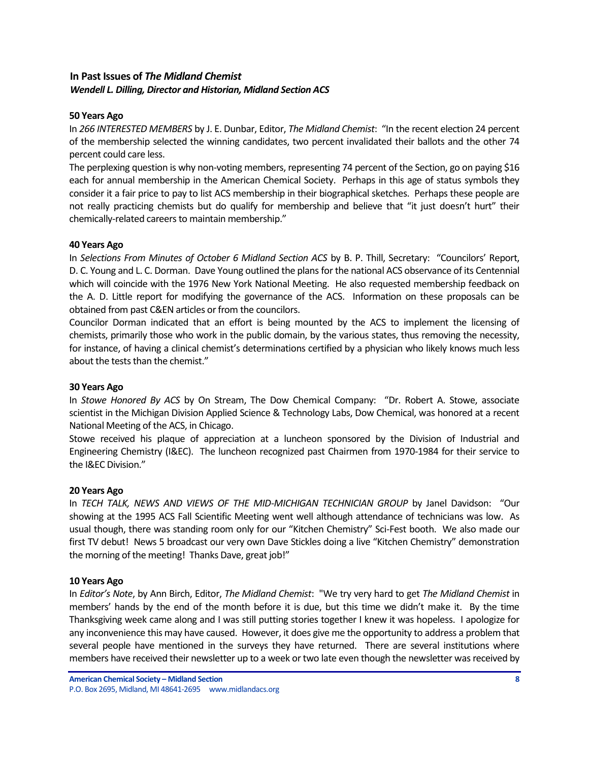### <span id="page-7-0"></span>**In Past Issues of** *The Midland Chemist Wendell L. Dilling, Director and Historian, Midland Section ACS*

#### **50 Years Ago**

In *266 INTERESTED MEMBERS* by J. E. Dunbar, Editor, *The Midland Chemist*: "In the recent election 24 percent of the membership selected the winning candidates, two percent invalidated their ballots and the other 74 percent could care less.

The perplexing question is why non-voting members, representing 74 percent of the Section, go on paying \$16 each for annual membership in the American Chemical Society. Perhaps in this age of status symbols they consider it a fair price to pay to list ACS membership in their biographical sketches. Perhaps these people are not really practicing chemists but do qualify for membership and believe that "it just doesn't hurt" their chemically-related careers to maintain membership."

#### **40 Years Ago**

In *Selections From Minutes of October 6 Midland Section ACS* by B. P. Thill, Secretary: "Councilors' Report, D. C. Young and L. C. Dorman. Dave Young outlined the plans for the national ACS observance of its Centennial which will coincide with the 1976 New York National Meeting. He also requested membership feedback on the A. D. Little report for modifying the governance of the ACS. Information on these proposals can be obtained from past C&EN articles or from the councilors.

Councilor Dorman indicated that an effort is being mounted by the ACS to implement the licensing of chemists, primarily those who work in the public domain, by the various states, thus removing the necessity, for instance, of having a clinical chemist's determinations certified by a physician who likely knows much less about the tests than the chemist."

### **30 Years Ago**

In *Stowe Honored By ACS* by On Stream, The Dow Chemical Company: "Dr. Robert A. Stowe, associate scientist in the Michigan Division Applied Science & Technology Labs, Dow Chemical, was honored at a recent National Meeting of the ACS, in Chicago.

Stowe received his plaque of appreciation at a luncheon sponsored by the Division of Industrial and Engineering Chemistry (I&EC). The luncheon recognized past Chairmen from 1970-1984 for their service to the I&EC Division."

#### **20 Years Ago**

In TECH TALK, NEWS AND VIEWS OF THE MID-MICHIGAN TECHNICIAN GROUP by Janel Davidson: "Our showing at the 1995 ACS Fall Scientific Meeting went well although attendance of technicians was low. As usual though, there was standing room only for our "Kitchen Chemistry" Sci-Fest booth. We also made our first TV debut! News 5 broadcast our very own Dave Stickles doing a live "Kitchen Chemistry" demonstration the morning of the meeting! Thanks Dave, great job!"

#### **10 Years Ago**

In *Editor's Note*, by Ann Birch, Editor, *The Midland Chemist*: "We try very hard to get *The Midland Chemist* in members' hands by the end of the month before it is due, but this time we didn't make it. By the time Thanksgiving week came along and I was still putting stories together I knew it was hopeless. I apologize for any inconvenience this may have caused. However, it does give me the opportunity to address a problem that several people have mentioned in the surveys they have returned. There are several institutions where members have received their newsletter up to a week or two late even though the newsletter was received by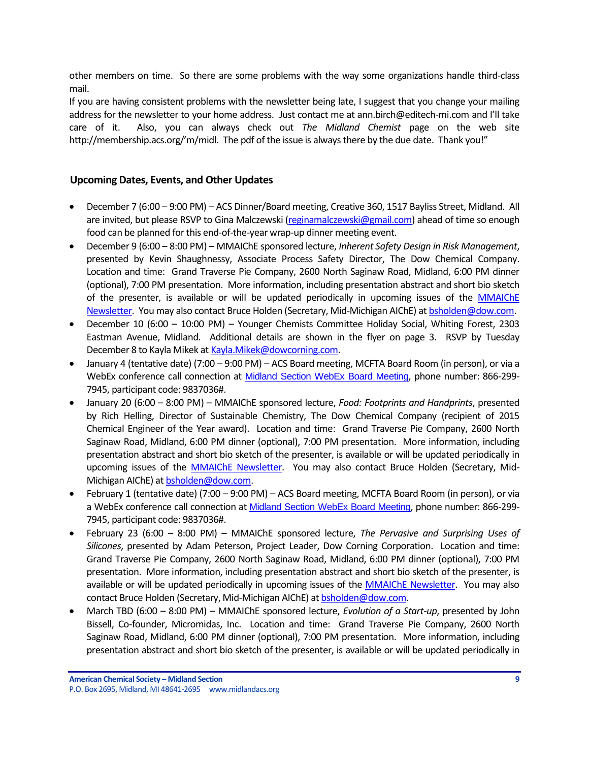other members on time. So there are some problems with the way some organizations handle third-class mail.

If you are having consistent problems with the newsletter being late, I suggest that you change your mailing address for the newsletter to your home address. Just contact me at ann.birch@editech-mi.com and I'll take care of it. Also, you can always check out *The Midland Chemist* page on the web site http://membership.acs.org/'m/midl. The pdf of the issue is always there by the due date. Thank you!"

### <span id="page-8-0"></span>**Upcoming Dates, Events, and Other Updates**

- December 7 (6:00 9:00 PM) ACS Dinner/Board meeting, Creative 360, 1517 Bayliss Street, Midland. All are invited, but please RSVP to Gina Malczewski [\(reginamalczewski@gmail.com\)](mailto:reginamalczewski@gmail.com) ahead of time so enough food can be planned for this end-of-the-year wrap-up dinner meeting event.
- December 9 (6:00 8:00 PM) MMAIChE sponsored lecture, *Inherent Safety Design in Risk Management*, presented by Kevin Shaughnessy, Associate Process Safety Director, The Dow Chemical Company. Location and time: Grand Traverse Pie Company, 2600 North Saginaw Road, Midland, 6:00 PM dinner (optional), 7:00 PM presentation. More information, including presentation abstract and short bio sketch of the presenter, is available or will be updated periodically in upcoming issues of the [MMAIChE](http://www.aiche.org/community/sites/local-sections/mid-michigan/newsletters)  [Newsletter.](http://www.aiche.org/community/sites/local-sections/mid-michigan/newsletters) You may also contact Bruce Holden (Secretary, Mid-Michigan AIChE) at [bsholden@dow.com.](mailto:bsholden@dow.com)
- December 10 (6:00 10:00 PM) Younger Chemists Committee Holiday Social, Whiting Forest, 2303 Eastman Avenue, Midland. Additional details are shown in the flyer on page 3. RSVP by Tuesday December 8 to Kayla Mikek a[t Kayla.Mikek@dowcorning.com.](mailto:Kayla.Mikek@dowcorning.com)
- January 4 (tentative date) (7:00 9:00 PM) ACS Board meeting, MCFTA Board Room (in person), or via a WebEx conference call connection at [Midland Section WebEx Board Meeting](https://meetings.webex.com/collabs/meetings/join?uuid=MDUIF3K1F2PHUAY4ZKRYDP7EXH-MIS), phone number: 866-299- 7945, participant code: 9837036#.
- January 20 (6:00 8:00 PM) MMAIChE sponsored lecture, *Food: Footprints and Handprints*, presented by Rich Helling, Director of Sustainable Chemistry, The Dow Chemical Company (recipient of 2015 Chemical Engineer of the Year award). Location and time: Grand Traverse Pie Company, 2600 North Saginaw Road, Midland, 6:00 PM dinner (optional), 7:00 PM presentation. More information, including presentation abstract and short bio sketch of the presenter, is available or will be updated periodically in upcoming issues of the **MMAIChE Newsletter**. You may also contact Bruce Holden (Secretary, Mid-Michigan AIChE) a[t bsholden@dow.com.](mailto:bsholden@dow.com)
- February 1 (tentative date) (7:00 9:00 PM) ACS Board meeting, MCFTA Board Room (in person), or via a WebEx conference call connection at [Midland Section WebEx Board Meeting](https://meetings.webex.com/collabs/meetings/join?uuid=MDUIF3K1F2PHUAY4ZKRYDP7EXH-MIS), phone number: 866-299- 7945, participant code: 9837036#.
- February 23 (6:00 8:00 PM) MMAIChE sponsored lecture, *The Pervasive and Surprising Uses of Silicones*, presented by Adam Peterson, Project Leader, Dow Corning Corporation. Location and time: Grand Traverse Pie Company, 2600 North Saginaw Road, Midland, 6:00 PM dinner (optional), 7:00 PM presentation. More information, including presentation abstract and short bio sketch of the presenter, is available or will be updated periodically in upcoming issues of the [MMAIChE Newsletter.](http://www.aiche.org/community/sites/local-sections/mid-michigan/newsletters) You may also contact Bruce Holden (Secretary, Mid-Michigan AIChE) at **bsholden@dow.com**.
- March TBD (6:00 8:00 PM) MMAIChE sponsored lecture, *Evolution of a Start-up*, presented by John Bissell, Co-founder, Micromidas, Inc. Location and time: Grand Traverse Pie Company, 2600 North Saginaw Road, Midland, 6:00 PM dinner (optional), 7:00 PM presentation. More information, including presentation abstract and short bio sketch of the presenter, is available or will be updated periodically in